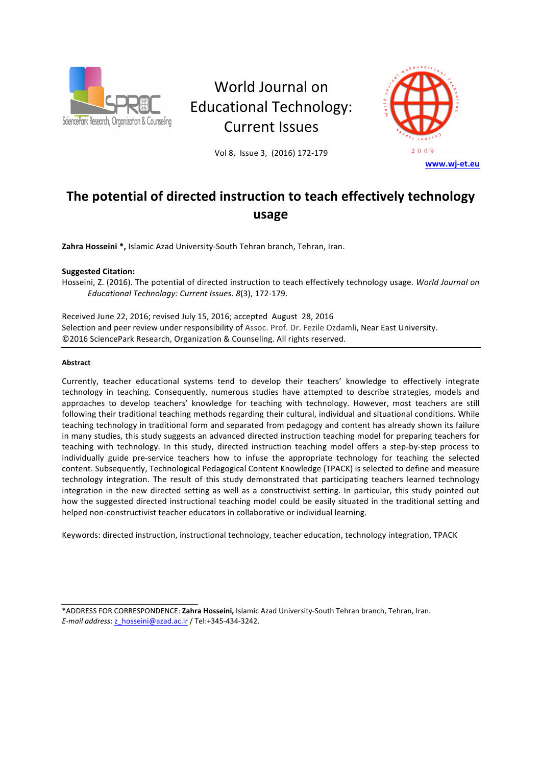

# World Journal on Educational Technology: **Current Issues**

Vol 8, Issue 3, (2016) 172-179



## The potential of directed instruction to teach effectively technology **usage**

Zahra Hosseini \*, Islamic Azad University-South Tehran branch, Tehran, Iran.

## **Suggested Citation:**

Hosseini, Z. (2016). The potential of directed instruction to teach effectively technology usage. World Journal on *Educational Technology: Current Issues. 8*(3), 172-179.

Received June 22, 2016; revised July 15, 2016; accepted August 28, 2016 Selection and peer review under responsibility of Assoc. Prof. Dr. Fezile Ozdamli, Near East University. ©2016 SciencePark Research, Organization & Counseling. All rights reserved.

## **Abstract**

Currently, teacher educational systems tend to develop their teachers' knowledge to effectively integrate technology in teaching. Consequently, numerous studies have attempted to describe strategies, models and approaches to develop teachers' knowledge for teaching with technology. However, most teachers are still following their traditional teaching methods regarding their cultural, individual and situational conditions. While teaching technology in traditional form and separated from pedagogy and content has already shown its failure in many studies, this study suggests an advanced directed instruction teaching model for preparing teachers for teaching with technology. In this study, directed instruction teaching model offers a step-by-step process to individually guide pre-service teachers how to infuse the appropriate technology for teaching the selected content. Subsequently, Technological Pedagogical Content Knowledge (TPACK) is selected to define and measure technology integration. The result of this study demonstrated that participating teachers learned technology integration in the new directed setting as well as a constructivist setting. In particular, this study pointed out how the suggested directed instructional teaching model could be easily situated in the traditional setting and helped non-constructivist teacher educators in collaborative or individual learning.

Keywords: directed instruction, instructional technology, teacher education, technology integration, TPACK

**<sup>\*</sup>**ADDRESS FOR CORRESPONDENCE: **Zahra Hosseini,** Islamic Azad University-South Tehran branch, Tehran, Iran. *E-mail address*: z\_hosseini@azad.ac.ir / Tel:+345-434-3242.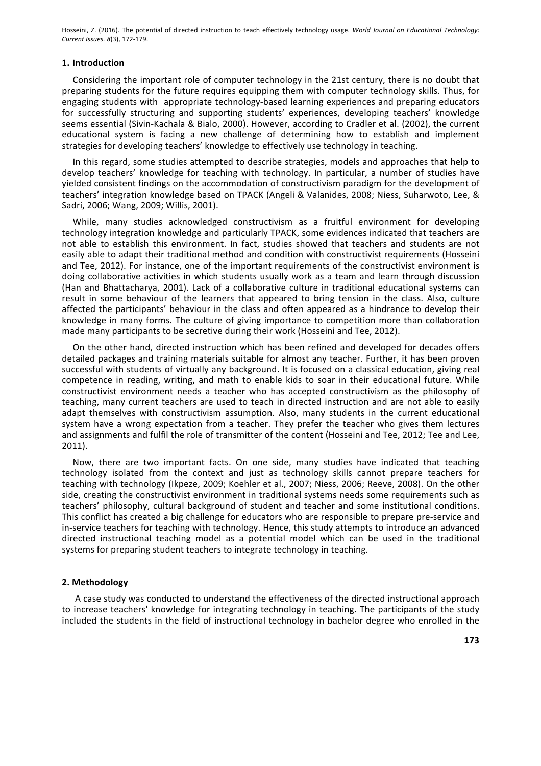#### **1. Introduction**

Considering the important role of computer technology in the 21st century, there is no doubt that preparing students for the future requires equipping them with computer technology skills. Thus, for engaging students with appropriate technology-based learning experiences and preparing educators for successfully structuring and supporting students' experiences, developing teachers' knowledge seems essential (Sivin-Kachala & Bialo, 2000). However, according to Cradler et al. (2002), the current educational system is facing a new challenge of determining how to establish and implement strategies for developing teachers' knowledge to effectively use technology in teaching.

In this regard, some studies attempted to describe strategies, models and approaches that help to develop teachers' knowledge for teaching with technology. In particular, a number of studies have yielded consistent findings on the accommodation of constructivism paradigm for the development of teachers' integration knowledge based on TPACK (Angeli & Valanides, 2008; Niess, Suharwoto, Lee, & Sadri, 2006; Wang, 2009; Willis, 2001).

While, many studies acknowledged constructivism as a fruitful environment for developing technology integration knowledge and particularly TPACK, some evidences indicated that teachers are not able to establish this environment. In fact, studies showed that teachers and students are not easily able to adapt their traditional method and condition with constructivist requirements (Hosseini and Tee, 2012). For instance, one of the important requirements of the constructivist environment is doing collaborative activities in which students usually work as a team and learn through discussion (Han and Bhattacharya, 2001). Lack of a collaborative culture in traditional educational systems can result in some behaviour of the learners that appeared to bring tension in the class. Also, culture affected the participants' behaviour in the class and often appeared as a hindrance to develop their knowledge in many forms. The culture of giving importance to competition more than collaboration made many participants to be secretive during their work (Hosseini and Tee, 2012).

On the other hand, directed instruction which has been refined and developed for decades offers detailed packages and training materials suitable for almost any teacher. Further, it has been proven successful with students of virtually any background. It is focused on a classical education, giving real competence in reading, writing, and math to enable kids to soar in their educational future. While constructivist environment needs a teacher who has accepted constructivism as the philosophy of teaching, many current teachers are used to teach in directed instruction and are not able to easily adapt themselves with constructivism assumption. Also, many students in the current educational system have a wrong expectation from a teacher. They prefer the teacher who gives them lectures and assignments and fulfil the role of transmitter of the content (Hosseini and Tee, 2012; Tee and Lee, 2011). 

Now, there are two important facts. On one side, many studies have indicated that teaching technology isolated from the context and just as technology skills cannot prepare teachers for teaching with technology (Ikpeze, 2009; Koehler et al., 2007; Niess, 2006; Reeve, 2008). On the other side, creating the constructivist environment in traditional systems needs some requirements such as teachers' philosophy, cultural background of student and teacher and some institutional conditions. This conflict has created a big challenge for educators who are responsible to prepare pre-service and in-service teachers for teaching with technology. Hence, this study attempts to introduce an advanced directed instructional teaching model as a potential model which can be used in the traditional systems for preparing student teachers to integrate technology in teaching.

## **2. Methodology**

A case study was conducted to understand the effectiveness of the directed instructional approach to increase teachers' knowledge for integrating technology in teaching. The participants of the study included the students in the field of instructional technology in bachelor degree who enrolled in the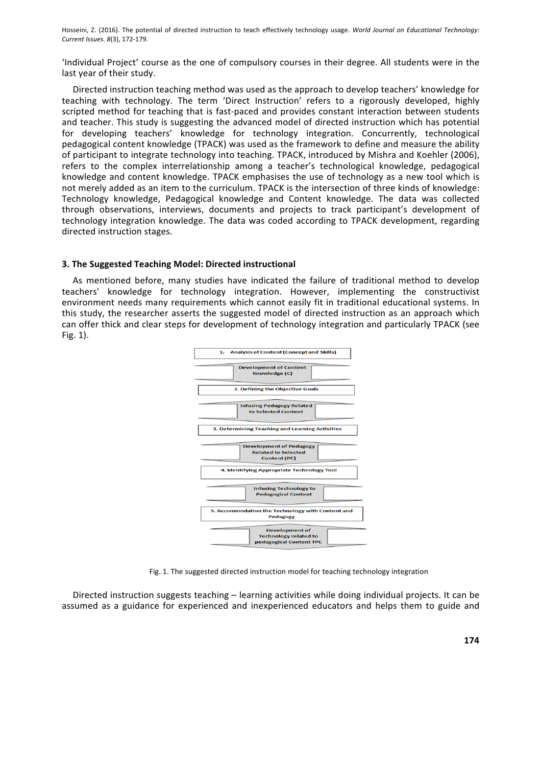'Individual Project' course as the one of compulsory courses in their degree. All students were in the last year of their study.

Directed instruction teaching method was used as the approach to develop teachers' knowledge for teaching with technology. The term 'Direct Instruction' refers to a rigorously developed, highly scripted method for teaching that is fast-paced and provides constant interaction between students and teacher. This study is suggesting the advanced model of directed instruction which has potential for developing teachers' knowledge for technology integration. Concurrently, technological pedagogical content knowledge (TPACK) was used as the framework to define and measure the ability of participant to integrate technology into teaching. TPACK, introduced by Mishra and Koehler (2006), refers to the complex interrelationship among a teacher's technological knowledge, pedagogical knowledge and content knowledge. TPACK emphasises the use of technology as a new tool which is not merely added as an item to the curriculum. TPACK is the intersection of three kinds of knowledge: Technology knowledge, Pedagogical knowledge and Content knowledge. The data was collected through observations, interviews, documents and projects to track participant's development of technology integration knowledge. The data was coded according to TPACK development, regarding directed instruction stages.

## **3. The Suggested Teaching Model: Directed instructional**

As mentioned before, many studies have indicated the failure of traditional method to develop teachers' knowledge for technology integration. However, implementing the constructivist environment needs many requirements which cannot easily fit in traditional educational systems. In this study, the researcher asserts the suggested model of directed instruction as an approach which can offer thick and clear steps for development of technology integration and particularly TPACK (see  $Fig. 1$ ).



Fig. 1. The suggested directed instruction model for teaching technology integration

Directed instruction suggests teaching – learning activities while doing individual projects. It can be assumed as a guidance for experienced and inexperienced educators and helps them to guide and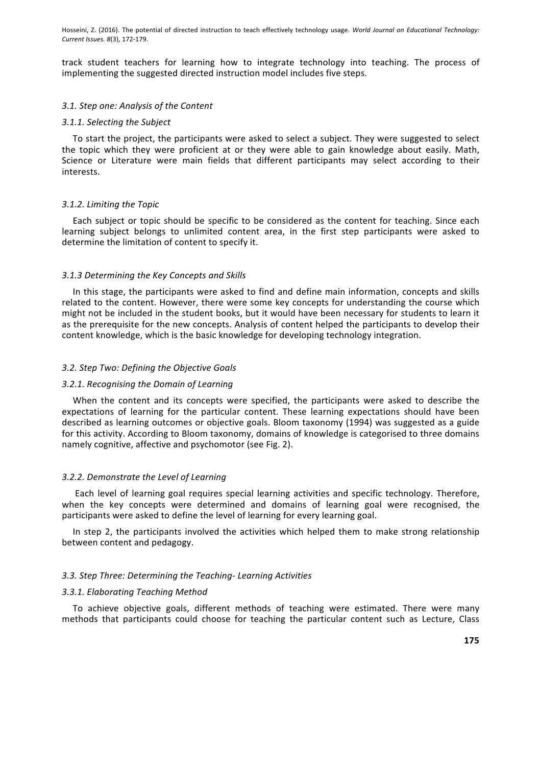track student teachers for learning how to integrate technology into teaching. The process of implementing the suggested directed instruction model includes five steps.

#### *3.1. Step one: Analysis of the Content*

#### 3.1.1. Selecting the Subject

To start the project, the participants were asked to select a subject. They were suggested to select the topic which they were proficient at or they were able to gain knowledge about easily. Math, Science or Literature were main fields that different participants may select according to their interests. 

#### *3.1.2. Limiting the Topic*

Each subject or topic should be specific to be considered as the content for teaching. Since each learning subject belongs to unlimited content area, in the first step participants were asked to determine the limitation of content to specify it.

#### *3.1.3 Determining the Key Concepts and Skills*

In this stage, the participants were asked to find and define main information, concepts and skills related to the content. However, there were some key concepts for understanding the course which might not be included in the student books, but it would have been necessary for students to learn it as the prerequisite for the new concepts. Analysis of content helped the participants to develop their content knowledge, which is the basic knowledge for developing technology integration.

### *3.2. Step Two: Defining the Objective Goals*

## *3.2.1. Recognising the Domain of Learning*

When the content and its concepts were specified, the participants were asked to describe the expectations of learning for the particular content. These learning expectations should have been described as learning outcomes or objective goals. Bloom taxonomy (1994) was suggested as a guide for this activity. According to Bloom taxonomy, domains of knowledge is categorised to three domains namely cognitive, affective and psychomotor (see Fig. 2).

#### *3.2.2. Demonstrate the Level of Learning*

Each level of learning goal requires special learning activities and specific technology. Therefore, when the key concepts were determined and domains of learning goal were recognised, the participants were asked to define the level of learning for every learning goal.

In step 2, the participants involved the activities which helped them to make strong relationship between content and pedagogy.

## *3.3. Step Three: Determining the Teaching- Learning Activities*

#### *3.3.1. Elaborating Teaching Method*

To achieve objective goals, different methods of teaching were estimated. There were many methods that participants could choose for teaching the particular content such as Lecture, Class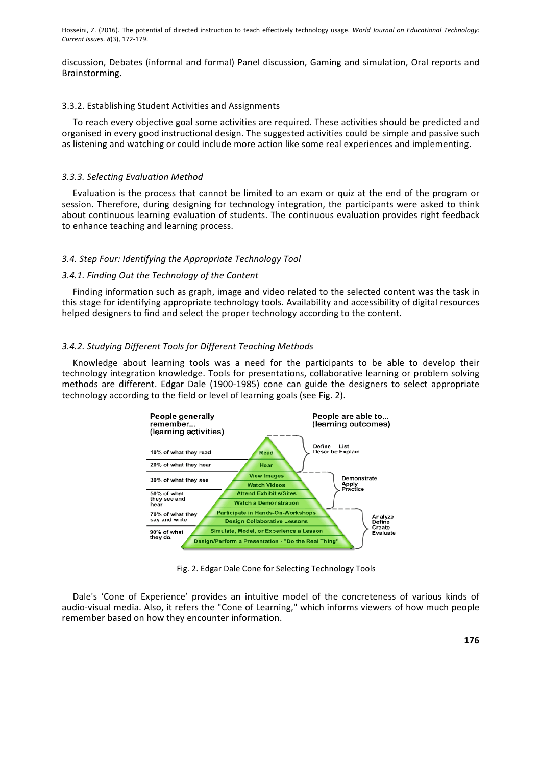discussion, Debates (informal and formal) Panel discussion, Gaming and simulation, Oral reports and Brainstorming. 

### 3.3.2. Establishing Student Activities and Assignments

To reach every objective goal some activities are required. These activities should be predicted and organised in every good instructional design. The suggested activities could be simple and passive such as listening and watching or could include more action like some real experiences and implementing.

## *3.3.3. Selecting Evaluation Method*

Evaluation is the process that cannot be limited to an exam or quiz at the end of the program or session. Therefore, during designing for technology integration, the participants were asked to think about continuous learning evaluation of students. The continuous evaluation provides right feedback to enhance teaching and learning process.

## 3.4. Step Four: Identifying the Appropriate Technology Tool

## *3.4.1. Finding Out the Technology of the Content*

Finding information such as graph, image and video related to the selected content was the task in this stage for identifying appropriate technology tools. Availability and accessibility of digital resources helped designers to find and select the proper technology according to the content.

## 3.4.2. Studying Different Tools for Different Teaching Methods

Knowledge about learning tools was a need for the participants to be able to develop their technology integration knowledge. Tools for presentations, collaborative learning or problem solving methods are different. Edgar Dale (1900-1985) cone can guide the designers to select appropriate technology according to the field or level of learning goals (see Fig. 2).



Fig. 2. Edgar Dale Cone for Selecting Technology Tools

Dale's 'Cone of Experience' provides an intuitive model of the concreteness of various kinds of audio-visual media. Also, it refers the "Cone of Learning," which informs viewers of how much people remember based on how they encounter information.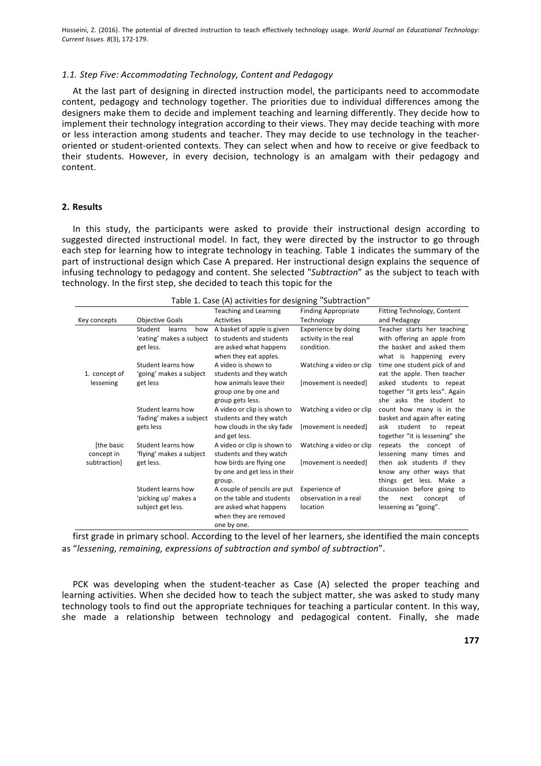## *1.1. Step Five: Accommodating Technology, Content and Pedagogy*

At the last part of designing in directed instruction model, the participants need to accommodate content, pedagogy and technology together. The priorities due to individual differences among the designers make them to decide and implement teaching and learning differently. They decide how to implement their technology integration according to their views. They may decide teaching with more or less interaction among students and teacher. They may decide to use technology in the teacheroriented or student-oriented contexts. They can select when and how to receive or give feedback to their students. However, in every decision, technology is an amalgam with their pedagogy and content. 

## **2. Results**

In this study, the participants were asked to provide their instructional design according to suggested directed instructional model. In fact, they were directed by the instructor to go through each step for learning how to integrate technology in teaching. Table 1 indicates the summary of the part of instructional design which Case A prepared. Her instructional design explains the sequence of infusing technology to pedagogy and content. She selected "*Subtraction*" as the subject to teach with technology. In the first step, she decided to teach this topic for the

 $Table 1. Case (A)$  activities for designing "Subtraction"

| rabic 1. Casc (A) activities for acsigning Sabtraction |                          |                              |                            |                                |
|--------------------------------------------------------|--------------------------|------------------------------|----------------------------|--------------------------------|
|                                                        |                          | <b>Teaching and Learning</b> | <b>Finding Appropriate</b> | Fitting Technology, Content    |
| Key concepts                                           | <b>Objective Goals</b>   | <b>Activities</b>            | Technology                 | and Pedagogy                   |
|                                                        | Student<br>learns<br>how | A basket of apple is given   | Experience by doing        | Teacher starts her teaching    |
|                                                        | 'eating' makes a subject | to students and students     | activity in the real       | with offering an apple from    |
|                                                        | get less.                | are asked what happens       | condition.                 | the basket and asked them      |
|                                                        |                          | when they eat apples.        |                            | what is happening every        |
|                                                        | Student learns how       | A video is shown to          | Watching a video or clip   | time one student pick of and   |
| 1. concept of                                          | 'going' makes a subject  | students and they watch      |                            | eat the apple. Then teacher    |
| lessening                                              | get less                 | how animals leave their      | [movement is needed]       | asked students to repeat       |
|                                                        |                          | group one by one and         |                            | together "it gets less". Again |
|                                                        |                          | group gets less.             |                            | she asks the student to        |
|                                                        | Student learns how       | A video or clip is shown to  | Watching a video or clip   | count how many is in the       |
|                                                        | 'fading' makes a subject | students and they watch      |                            | basket and again after eating  |
|                                                        | gets less                | how clouds in the sky fade   | [movement is needed]       | ask student to<br>repeat       |
|                                                        |                          | and get less.                |                            | together "it is lessening" she |
| [the basic                                             | Student learns how       | A video or clip is shown to  | Watching a video or clip   | repeats the concept of         |
| concept in                                             | 'flying' makes a subject | students and they watch      |                            | lessening many times and       |
| subtraction]                                           | get less.                | how birds are flying one     | [movement is needed]       | then ask students if they      |
|                                                        |                          | by one and get less in their |                            | know any other ways that       |
|                                                        |                          | group.                       |                            | things get less. Make a        |
|                                                        | Student learns how       | A couple of pencils are put  | Experience of              | discussion before going to     |
|                                                        | 'picking up' makes a     | on the table and students    | observation in a real      | of<br>the<br>next<br>concept   |
|                                                        | subject get less.        | are asked what happens       | location                   | lessening as "going".          |
|                                                        |                          | when they are removed        |                            |                                |
|                                                        |                          | one by one.                  |                            |                                |

first grade in primary school. According to the level of her learners, she identified the main concepts as "lessening, remaining, expressions of subtraction and symbol of subtraction".

PCK was developing when the student-teacher as Case (A) selected the proper teaching and learning activities. When she decided how to teach the subject matter, she was asked to study many technology tools to find out the appropriate techniques for teaching a particular content. In this way, she made a relationship between technology and pedagogical content. Finally, she made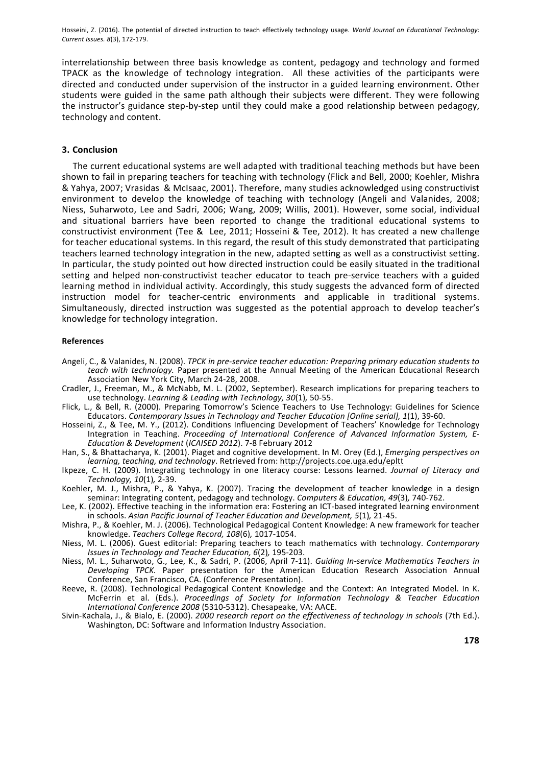interrelationship between three basis knowledge as content, pedagogy and technology and formed TPACK as the knowledge of technology integration. All these activities of the participants were directed and conducted under supervision of the instructor in a guided learning environment. Other students were guided in the same path although their subjects were different. They were following the instructor's guidance step-by-step until they could make a good relationship between pedagogy, technology and content.

## **3. Conclusion**

The current educational systems are well adapted with traditional teaching methods but have been shown to fail in preparing teachers for teaching with technology (Flick and Bell, 2000; Koehler, Mishra & Yahya, 2007; Vrasidas & McIsaac, 2001). Therefore, many studies acknowledged using constructivist environment to develop the knowledge of teaching with technology (Angeli and Valanides, 2008; Niess, Suharwoto, Lee and Sadri, 2006; Wang, 2009; Willis, 2001). However, some social, individual and situational barriers have been reported to change the traditional educational systems to constructivist environment (Tee & Lee, 2011; Hosseini & Tee, 2012). It has created a new challenge for teacher educational systems. In this regard, the result of this study demonstrated that participating teachers learned technology integration in the new, adapted setting as well as a constructivist setting. In particular, the study pointed out how directed instruction could be easily situated in the traditional setting and helped non-constructivist teacher educator to teach pre-service teachers with a guided learning method in individual activity. Accordingly, this study suggests the advanced form of directed instruction model for teacher-centric environments and applicable in traditional systems. Simultaneously, directed instruction was suggested as the potential approach to develop teacher's knowledge for technology integration.

#### **References**

- Angeli, C., & Valanides, N. (2008). *TPCK in pre-service teacher education: Preparing primary education students to teach* with *technology*. Paper presented at the Annual Meeting of the American Educational Research Association New York City, March 24-28, 2008.
- Cradler, J., Freeman, M., & McNabb, M. L. (2002, September). Research implications for preparing teachers to use technology. Learning & Leading with Technology, 30(1), 50-55.
- Flick, L., & Bell, R. (2000). Preparing Tomorrow's Science Teachers to Use Technology: Guidelines for Science Educators. Contemporary Issues in Technology and Teacher Education [Online serial], 1(1), 39-60.
- Hosseini, Z., & Tee, M. Y., (2012). Conditions Influencing Development of Teachers' Knowledge for Technology Integration in Teaching. Proceeding of International Conference of Advanced Information System, E-*Education & Development* (*ICAISED 2012*). 7-8 February 2012
- Han, S., & Bhattacharya, K. (2001). Piaget and cognitive development. In M. Orey (Ed.), *Emerging perspectives on learning, teaching, and technology*. Retrieved from: http://projects.coe.uga.edu/epltt
- Ikpeze, C. H. (2009). Integrating technology in one literacy course: Lessons learned. Journal of Literacy and *Technology, 10*(1)*,* 2-39.
- Koehler, M. J., Mishra, P., & Yahya, K. (2007). Tracing the development of teacher knowledge in a design seminar: Integrating content, pedagogy and technology. *Computers & Education, 49*(3), 740-762.
- Lee, K. (2002). Effective teaching in the information era: Fostering an ICT-based integrated learning environment in schools. Asian Pacific Journal of Teacher Education and Development, 5(1), 21-45.
- Mishra, P., & Koehler, M. J. (2006). Technological Pedagogical Content Knowledge: A new framework for teacher knowledge. *Teachers College Record, 108*(6)*,* 1017-1054.
- Niess, M. L. (2006). Guest editorial: Preparing teachers to teach mathematics with technology. *Contemporary Issues in Technology and Teacher Education, 6(2), 195-203.*
- Niess, M. L., Suharwoto, G., Lee, K., & Sadri, P. (2006, April 7-11). *Guiding In-service Mathematics Teachers in Developing TPCK.*  Paper presentation for the American Education Research Association Annual Conference, San Francisco, CA. (Conference Presentation).
- Reeve, R. (2008). Technological Pedagogical Content Knowledge and the Context: An Integrated Model. In K. McFerrin et al. (Eds.). *Proceedings of Society for Information Technology & Teacher Education International Conference 2008* (5310-5312). Chesapeake, VA: AACE.
- Sivin-Kachala, J., & Bialo, E. (2000). *2000 research report on the effectiveness of technology in schools* (7th Ed.). Washington, DC: Software and Information Industry Association.